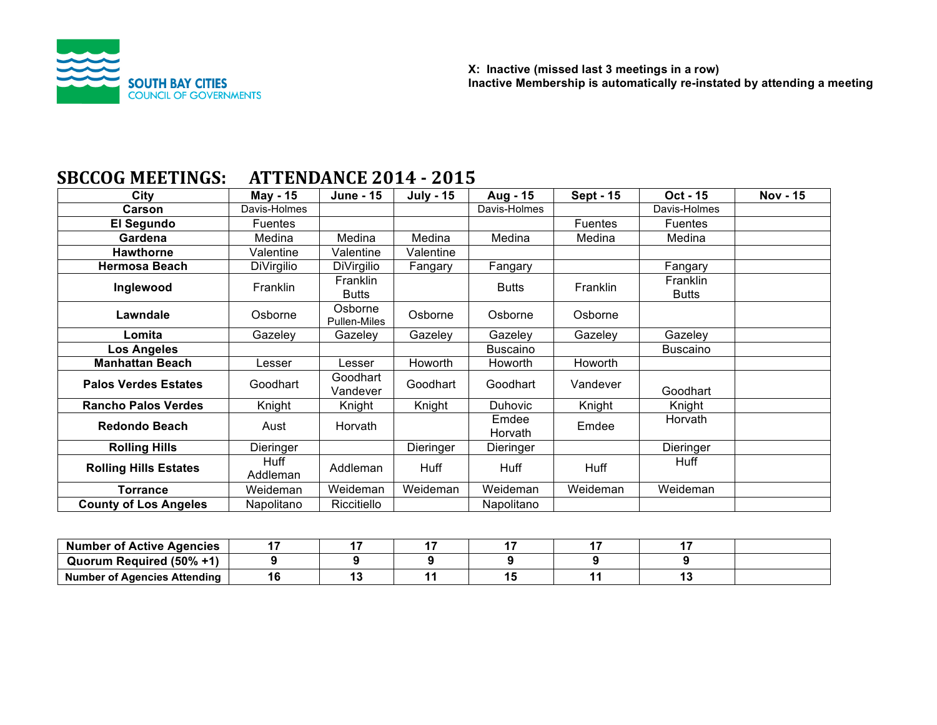

# **SBCCOG MEETINGS: ATTENDANCE 2014 - 2015**

| City                         | May - 15         | <b>June - 15</b>         | <b>July - 15</b> | Aug - 15         | <b>Sept - 15</b> | Oct - 15                 | <b>Nov - 15</b> |
|------------------------------|------------------|--------------------------|------------------|------------------|------------------|--------------------------|-----------------|
| <b>Carson</b>                | Davis-Holmes     |                          |                  | Davis-Holmes     |                  | Davis-Holmes             |                 |
| El Segundo                   | <b>Fuentes</b>   |                          |                  |                  | <b>Fuentes</b>   | Fuentes                  |                 |
| Gardena                      | Medina           | Medina                   | Medina           | Medina           | Medina           | Medina                   |                 |
| <b>Hawthorne</b>             | Valentine        | Valentine                | Valentine        |                  |                  |                          |                 |
| <b>Hermosa Beach</b>         | DiVirgilio       | DiVirgilio               | Fangary          | Fangary          |                  | Fangary                  |                 |
| Inglewood                    | Franklin         | Franklin<br><b>Butts</b> |                  | <b>Butts</b>     | Franklin         | Franklin<br><b>Butts</b> |                 |
| Lawndale                     | Osborne          | Osborne<br>Pullen-Miles  | Osborne          | Osborne          | Osborne          |                          |                 |
| Lomita                       | Gazeley          | Gazeley                  | Gazeley          | Gazeley          | Gazeley          | Gazeley                  |                 |
| <b>Los Angeles</b>           |                  |                          |                  | Buscaino         |                  | Buscaino                 |                 |
| <b>Manhattan Beach</b>       | Lesser           | Lesser                   | Howorth          | <b>Howorth</b>   | Howorth          |                          |                 |
| <b>Palos Verdes Estates</b>  | Goodhart         | Goodhart<br>Vandever     | Goodhart         | Goodhart         | Vandever         | Goodhart                 |                 |
| <b>Rancho Palos Verdes</b>   | Knight           | Knight                   | Knight           | <b>Duhovic</b>   | Knight           | Knight                   |                 |
| <b>Redondo Beach</b>         | Aust             | Horvath                  |                  | Emdee<br>Horvath | Emdee            | Horvath                  |                 |
| <b>Rolling Hills</b>         | Dieringer        |                          | Dieringer        | Dieringer        |                  | Dieringer                |                 |
| <b>Rolling Hills Estates</b> | Huff<br>Addleman | Addleman                 | Huff             | Huff             | Huff             | Huff                     |                 |
| <b>Torrance</b>              | Weideman         | Weideman                 | Weideman         | Weideman         | Weideman         | Weideman                 |                 |
| <b>County of Los Angeles</b> | Napolitano       | Riccitiello              |                  | Napolitano       |                  |                          |                 |

| <b>Number of Active Agencies</b> |  |  |  |  |
|----------------------------------|--|--|--|--|
| Quorum Required (50% +1)         |  |  |  |  |
| Number of Agencies Attending     |  |  |  |  |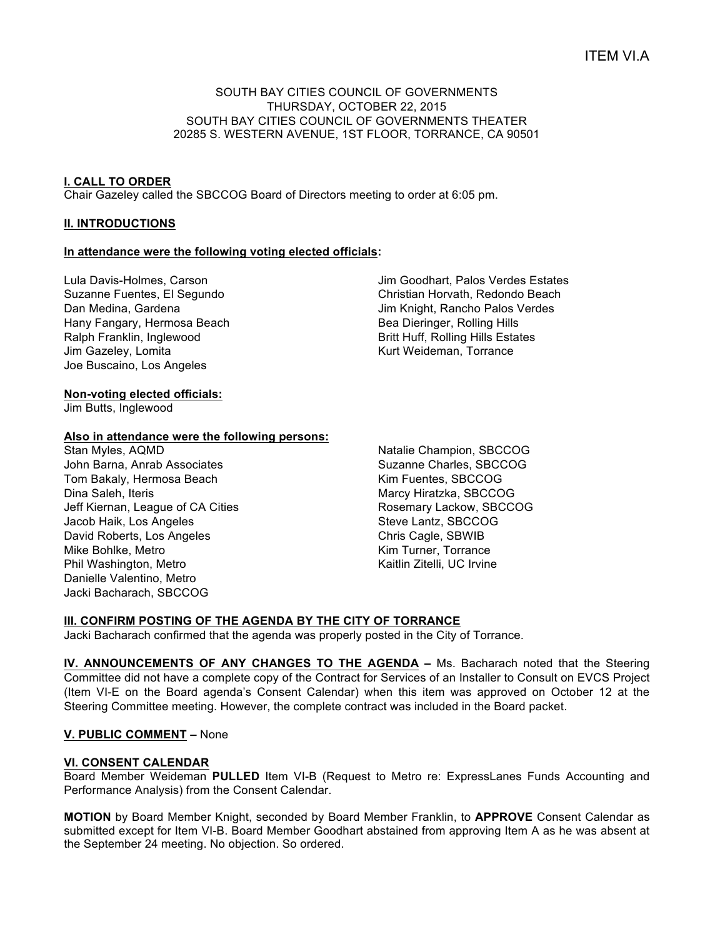## SOUTH BAY CITIES COUNCIL OF GOVERNMENTS THURSDAY, OCTOBER 22, 2015 SOUTH BAY CITIES COUNCIL OF GOVERNMENTS THEATER 20285 S. WESTERN AVENUE, 1ST FLOOR, TORRANCE, CA 90501

## **I. CALL TO ORDER**

Chair Gazeley called the SBCCOG Board of Directors meeting to order at 6:05 pm.

## **II. INTRODUCTIONS**

# **In attendance were the following voting elected officials:**

Lula Davis-Holmes, Carson Suzanne Fuentes, El Segundo Dan Medina, Gardena Hany Fangary, Hermosa Beach Ralph Franklin, Inglewood Jim Gazeley, Lomita Joe Buscaino, Los Angeles

Jim Goodhart, Palos Verdes Estates Christian Horvath, Redondo Beach Jim Knight, Rancho Palos Verdes Bea Dieringer, Rolling Hills Britt Huff, Rolling Hills Estates Kurt Weideman, Torrance

## **Non-voting elected officials:**

Jim Butts, Inglewood

#### **Also in attendance were the following persons:**

Stan Myles, AQMD John Barna, Anrab Associates Tom Bakaly, Hermosa Beach Dina Saleh, Iteris Jeff Kiernan, League of CA Cities Jacob Haik, Los Angeles David Roberts, Los Angeles Mike Bohlke, Metro Phil Washington, Metro Danielle Valentino, Metro Jacki Bacharach, SBCCOG

Natalie Champion, SBCCOG Suzanne Charles, SBCCOG Kim Fuentes, SBCCOG Marcy Hiratzka, SBCCOG Rosemary Lackow, SBCCOG Steve Lantz, SBCCOG Chris Cagle, SBWIB Kim Turner, Torrance Kaitlin Zitelli, UC Irvine

# **III. CONFIRM POSTING OF THE AGENDA BY THE CITY OF TORRANCE**

Jacki Bacharach confirmed that the agenda was properly posted in the City of Torrance.

**IV. ANNOUNCEMENTS OF ANY CHANGES TO THE AGENDA –** Ms. Bacharach noted that the Steering Committee did not have a complete copy of the Contract for Services of an Installer to Consult on EVCS Project (Item VI-E on the Board agenda's Consent Calendar) when this item was approved on October 12 at the Steering Committee meeting. However, the complete contract was included in the Board packet.

#### **V. PUBLIC COMMENT –** None

#### **VI. CONSENT CALENDAR**

Board Member Weideman **PULLED** Item VI-B (Request to Metro re: ExpressLanes Funds Accounting and Performance Analysis) from the Consent Calendar.

**MOTION** by Board Member Knight, seconded by Board Member Franklin, to **APPROVE** Consent Calendar as submitted except for Item VI-B. Board Member Goodhart abstained from approving Item A as he was absent at the September 24 meeting. No objection. So ordered.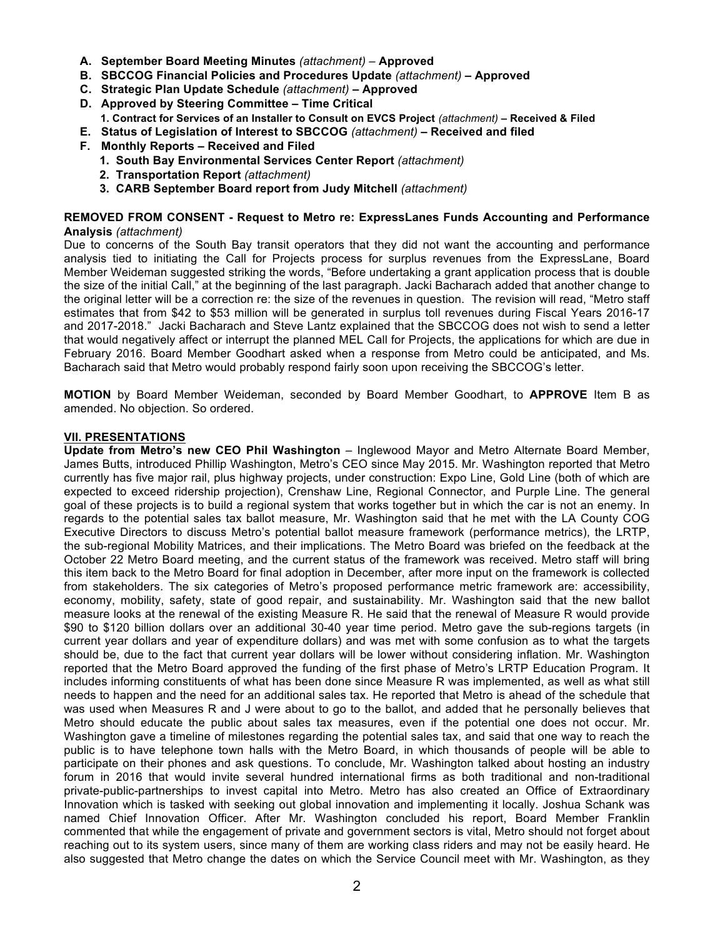- **A. September Board Meeting Minutes** *(attachment) –* **Approved**
- **B. SBCCOG Financial Policies and Procedures Update** *(attachment)* **– Approved**
- **C. Strategic Plan Update Schedule** *(attachment)* **– Approved**
- **D. Approved by Steering Committee – Time Critical**
- **1. Contract for Services of an Installer to Consult on EVCS Project** *(attachment)* **– Received & Filed**
- **E. Status of Legislation of Interest to SBCCOG** *(attachment)* **– Received and filed**
- **F. Monthly Reports – Received and Filed**
	- **1. South Bay Environmental Services Center Report** *(attachment)*
	- **2. Transportation Report** *(attachment)*
	- **3. CARB September Board report from Judy Mitchell** *(attachment)*

## **REMOVED FROM CONSENT - Request to Metro re: ExpressLanes Funds Accounting and Performance Analysis** *(attachment)*

Due to concerns of the South Bay transit operators that they did not want the accounting and performance analysis tied to initiating the Call for Projects process for surplus revenues from the ExpressLane, Board Member Weideman suggested striking the words, "Before undertaking a grant application process that is double the size of the initial Call," at the beginning of the last paragraph. Jacki Bacharach added that another change to the original letter will be a correction re: the size of the revenues in question. The revision will read, "Metro staff estimates that from \$42 to \$53 million will be generated in surplus toll revenues during Fiscal Years 2016-17 and 2017-2018." Jacki Bacharach and Steve Lantz explained that the SBCCOG does not wish to send a letter that would negatively affect or interrupt the planned MEL Call for Projects, the applications for which are due in February 2016. Board Member Goodhart asked when a response from Metro could be anticipated, and Ms. Bacharach said that Metro would probably respond fairly soon upon receiving the SBCCOG's letter.

**MOTION** by Board Member Weideman, seconded by Board Member Goodhart, to **APPROVE** Item B as amended. No objection. So ordered.

## **VII. PRESENTATIONS**

**Update from Metro's new CEO Phil Washington** – Inglewood Mayor and Metro Alternate Board Member, James Butts, introduced Phillip Washington, Metro's CEO since May 2015. Mr. Washington reported that Metro currently has five major rail, plus highway projects, under construction: Expo Line, Gold Line (both of which are expected to exceed ridership projection), Crenshaw Line, Regional Connector, and Purple Line. The general goal of these projects is to build a regional system that works together but in which the car is not an enemy. In regards to the potential sales tax ballot measure, Mr. Washington said that he met with the LA County COG Executive Directors to discuss Metro's potential ballot measure framework (performance metrics), the LRTP, the sub-regional Mobility Matrices, and their implications. The Metro Board was briefed on the feedback at the October 22 Metro Board meeting, and the current status of the framework was received. Metro staff will bring this item back to the Metro Board for final adoption in December, after more input on the framework is collected from stakeholders. The six categories of Metro's proposed performance metric framework are: accessibility, economy, mobility, safety, state of good repair, and sustainability. Mr. Washington said that the new ballot measure looks at the renewal of the existing Measure R. He said that the renewal of Measure R would provide \$90 to \$120 billion dollars over an additional 30-40 year time period. Metro gave the sub-regions targets (in current year dollars and year of expenditure dollars) and was met with some confusion as to what the targets should be, due to the fact that current year dollars will be lower without considering inflation. Mr. Washington reported that the Metro Board approved the funding of the first phase of Metro's LRTP Education Program. It includes informing constituents of what has been done since Measure R was implemented, as well as what still needs to happen and the need for an additional sales tax. He reported that Metro is ahead of the schedule that was used when Measures R and J were about to go to the ballot, and added that he personally believes that Metro should educate the public about sales tax measures, even if the potential one does not occur. Mr. Washington gave a timeline of milestones regarding the potential sales tax, and said that one way to reach the public is to have telephone town halls with the Metro Board, in which thousands of people will be able to participate on their phones and ask questions. To conclude, Mr. Washington talked about hosting an industry forum in 2016 that would invite several hundred international firms as both traditional and non-traditional private-public-partnerships to invest capital into Metro. Metro has also created an Office of Extraordinary Innovation which is tasked with seeking out global innovation and implementing it locally. Joshua Schank was named Chief Innovation Officer. After Mr. Washington concluded his report, Board Member Franklin commented that while the engagement of private and government sectors is vital, Metro should not forget about reaching out to its system users, since many of them are working class riders and may not be easily heard. He also suggested that Metro change the dates on which the Service Council meet with Mr. Washington, as they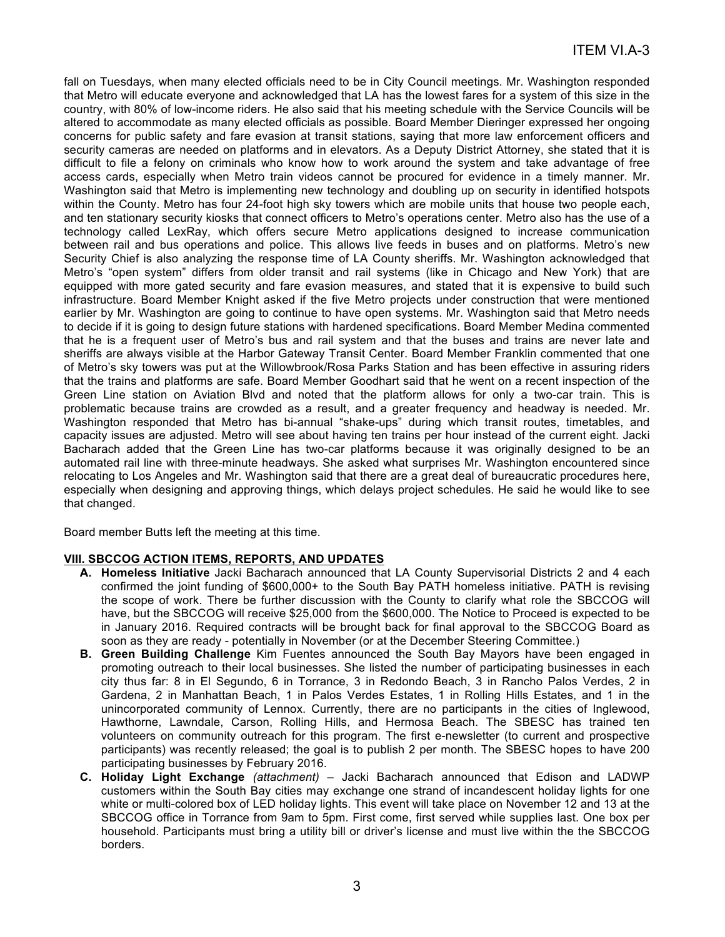fall on Tuesdays, when many elected officials need to be in City Council meetings. Mr. Washington responded that Metro will educate everyone and acknowledged that LA has the lowest fares for a system of this size in the country, with 80% of low-income riders. He also said that his meeting schedule with the Service Councils will be altered to accommodate as many elected officials as possible. Board Member Dieringer expressed her ongoing concerns for public safety and fare evasion at transit stations, saying that more law enforcement officers and security cameras are needed on platforms and in elevators. As a Deputy District Attorney, she stated that it is difficult to file a felony on criminals who know how to work around the system and take advantage of free access cards, especially when Metro train videos cannot be procured for evidence in a timely manner. Mr. Washington said that Metro is implementing new technology and doubling up on security in identified hotspots within the County. Metro has four 24-foot high sky towers which are mobile units that house two people each, and ten stationary security kiosks that connect officers to Metro's operations center. Metro also has the use of a technology called LexRay, which offers secure Metro applications designed to increase communication between rail and bus operations and police. This allows live feeds in buses and on platforms. Metro's new Security Chief is also analyzing the response time of LA County sheriffs. Mr. Washington acknowledged that Metro's "open system" differs from older transit and rail systems (like in Chicago and New York) that are equipped with more gated security and fare evasion measures, and stated that it is expensive to build such infrastructure. Board Member Knight asked if the five Metro projects under construction that were mentioned earlier by Mr. Washington are going to continue to have open systems. Mr. Washington said that Metro needs to decide if it is going to design future stations with hardened specifications. Board Member Medina commented that he is a frequent user of Metro's bus and rail system and that the buses and trains are never late and sheriffs are always visible at the Harbor Gateway Transit Center. Board Member Franklin commented that one of Metro's sky towers was put at the Willowbrook/Rosa Parks Station and has been effective in assuring riders that the trains and platforms are safe. Board Member Goodhart said that he went on a recent inspection of the Green Line station on Aviation Blvd and noted that the platform allows for only a two-car train. This is problematic because trains are crowded as a result, and a greater frequency and headway is needed. Mr. Washington responded that Metro has bi-annual "shake-ups" during which transit routes, timetables, and capacity issues are adjusted. Metro will see about having ten trains per hour instead of the current eight. Jacki Bacharach added that the Green Line has two-car platforms because it was originally designed to be an automated rail line with three-minute headways. She asked what surprises Mr. Washington encountered since relocating to Los Angeles and Mr. Washington said that there are a great deal of bureaucratic procedures here, especially when designing and approving things, which delays project schedules. He said he would like to see that changed.

Board member Butts left the meeting at this time.

# **VIII. SBCCOG ACTION ITEMS, REPORTS, AND UPDATES**

- **A. Homeless Initiative** Jacki Bacharach announced that LA County Supervisorial Districts 2 and 4 each confirmed the joint funding of \$600,000+ to the South Bay PATH homeless initiative. PATH is revising the scope of work. There be further discussion with the County to clarify what role the SBCCOG will have, but the SBCCOG will receive \$25,000 from the \$600,000. The Notice to Proceed is expected to be in January 2016. Required contracts will be brought back for final approval to the SBCCOG Board as soon as they are ready - potentially in November (or at the December Steering Committee.)
- **B. Green Building Challenge** Kim Fuentes announced the South Bay Mayors have been engaged in promoting outreach to their local businesses. She listed the number of participating businesses in each city thus far: 8 in El Segundo, 6 in Torrance, 3 in Redondo Beach, 3 in Rancho Palos Verdes, 2 in Gardena, 2 in Manhattan Beach, 1 in Palos Verdes Estates, 1 in Rolling Hills Estates, and 1 in the unincorporated community of Lennox. Currently, there are no participants in the cities of Inglewood, Hawthorne, Lawndale, Carson, Rolling Hills, and Hermosa Beach. The SBESC has trained ten volunteers on community outreach for this program. The first e-newsletter (to current and prospective participants) was recently released; the goal is to publish 2 per month. The SBESC hopes to have 200 participating businesses by February 2016.
- **C. Holiday Light Exchange** *(attachment)* Jacki Bacharach announced that Edison and LADWP customers within the South Bay cities may exchange one strand of incandescent holiday lights for one white or multi-colored box of LED holiday lights. This event will take place on November 12 and 13 at the SBCCOG office in Torrance from 9am to 5pm. First come, first served while supplies last. One box per household. Participants must bring a utility bill or driver's license and must live within the the SBCCOG borders.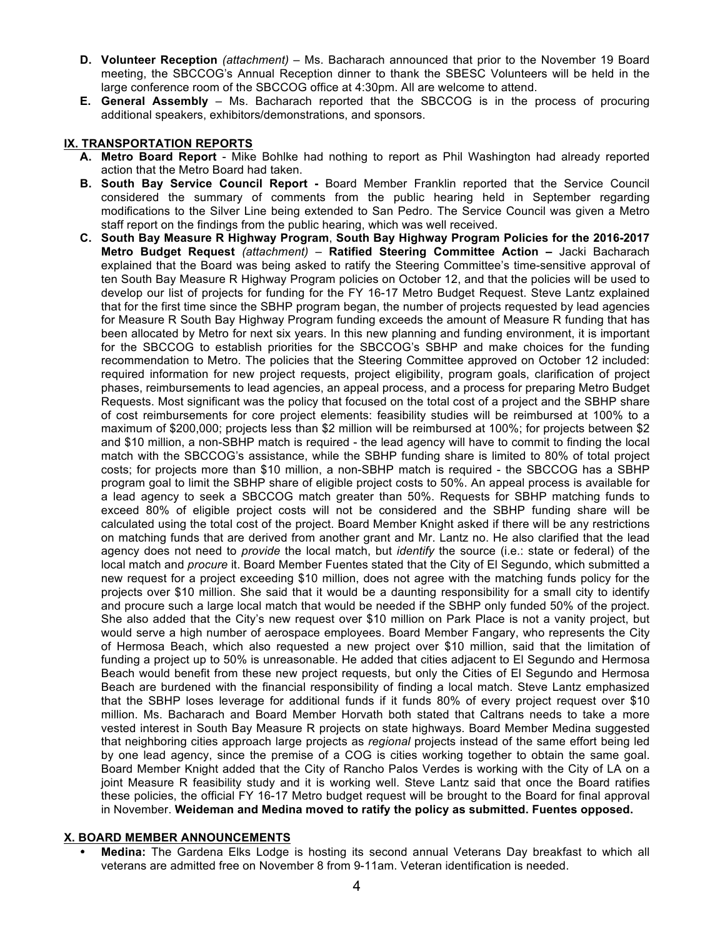- **D. Volunteer Reception** *(attachment)* Ms. Bacharach announced that prior to the November 19 Board meeting, the SBCCOG's Annual Reception dinner to thank the SBESC Volunteers will be held in the large conference room of the SBCCOG office at 4:30pm. All are welcome to attend.
- **E. General Assembly** Ms. Bacharach reported that the SBCCOG is in the process of procuring additional speakers, exhibitors/demonstrations, and sponsors.

## **IX. TRANSPORTATION REPORTS**

- **A. Metro Board Report**  Mike Bohlke had nothing to report as Phil Washington had already reported action that the Metro Board had taken.
- **B. South Bay Service Council Report -** Board Member Franklin reported that the Service Council considered the summary of comments from the public hearing held in September regarding modifications to the Silver Line being extended to San Pedro. The Service Council was given a Metro staff report on the findings from the public hearing, which was well received.
- **C. South Bay Measure R Highway Program**, **South Bay Highway Program Policies for the 2016-2017 Metro Budget Request** *(attachment)* – **Ratified Steering Committee Action –** Jacki Bacharach explained that the Board was being asked to ratify the Steering Committee's time-sensitive approval of ten South Bay Measure R Highway Program policies on October 12, and that the policies will be used to develop our list of projects for funding for the FY 16-17 Metro Budget Request. Steve Lantz explained that for the first time since the SBHP program began, the number of projects requested by lead agencies for Measure R South Bay Highway Program funding exceeds the amount of Measure R funding that has been allocated by Metro for next six years. In this new planning and funding environment, it is important for the SBCCOG to establish priorities for the SBCCOG's SBHP and make choices for the funding recommendation to Metro. The policies that the Steering Committee approved on October 12 included: required information for new project requests, project eligibility, program goals, clarification of project phases, reimbursements to lead agencies, an appeal process, and a process for preparing Metro Budget Requests. Most significant was the policy that focused on the total cost of a project and the SBHP share of cost reimbursements for core project elements: feasibility studies will be reimbursed at 100% to a maximum of \$200,000; projects less than \$2 million will be reimbursed at 100%; for projects between \$2 and \$10 million, a non-SBHP match is required - the lead agency will have to commit to finding the local match with the SBCCOG's assistance, while the SBHP funding share is limited to 80% of total project costs; for projects more than \$10 million, a non-SBHP match is required - the SBCCOG has a SBHP program goal to limit the SBHP share of eligible project costs to 50%. An appeal process is available for a lead agency to seek a SBCCOG match greater than 50%. Requests for SBHP matching funds to exceed 80% of eligible project costs will not be considered and the SBHP funding share will be calculated using the total cost of the project. Board Member Knight asked if there will be any restrictions on matching funds that are derived from another grant and Mr. Lantz no. He also clarified that the lead agency does not need to *provide* the local match, but *identify* the source (i.e.: state or federal) of the local match and *procure* it. Board Member Fuentes stated that the City of El Segundo, which submitted a new request for a project exceeding \$10 million, does not agree with the matching funds policy for the projects over \$10 million. She said that it would be a daunting responsibility for a small city to identify and procure such a large local match that would be needed if the SBHP only funded 50% of the project. She also added that the City's new request over \$10 million on Park Place is not a vanity project, but would serve a high number of aerospace employees. Board Member Fangary, who represents the City of Hermosa Beach, which also requested a new project over \$10 million, said that the limitation of funding a project up to 50% is unreasonable. He added that cities adjacent to El Segundo and Hermosa Beach would benefit from these new project requests, but only the Cities of El Segundo and Hermosa Beach are burdened with the financial responsibility of finding a local match. Steve Lantz emphasized that the SBHP loses leverage for additional funds if it funds 80% of every project request over \$10 million. Ms. Bacharach and Board Member Horvath both stated that Caltrans needs to take a more vested interest in South Bay Measure R projects on state highways. Board Member Medina suggested that neighboring cities approach large projects as *regional* projects instead of the same effort being led by one lead agency, since the premise of a COG is cities working together to obtain the same goal. Board Member Knight added that the City of Rancho Palos Verdes is working with the City of LA on a joint Measure R feasibility study and it is working well. Steve Lantz said that once the Board ratifies these policies, the official FY 16-17 Metro budget request will be brought to the Board for final approval in November. **Weideman and Medina moved to ratify the policy as submitted. Fuentes opposed.**

#### **X. BOARD MEMBER ANNOUNCEMENTS**

• **Medina:** The Gardena Elks Lodge is hosting its second annual Veterans Day breakfast to which all veterans are admitted free on November 8 from 9-11am. Veteran identification is needed.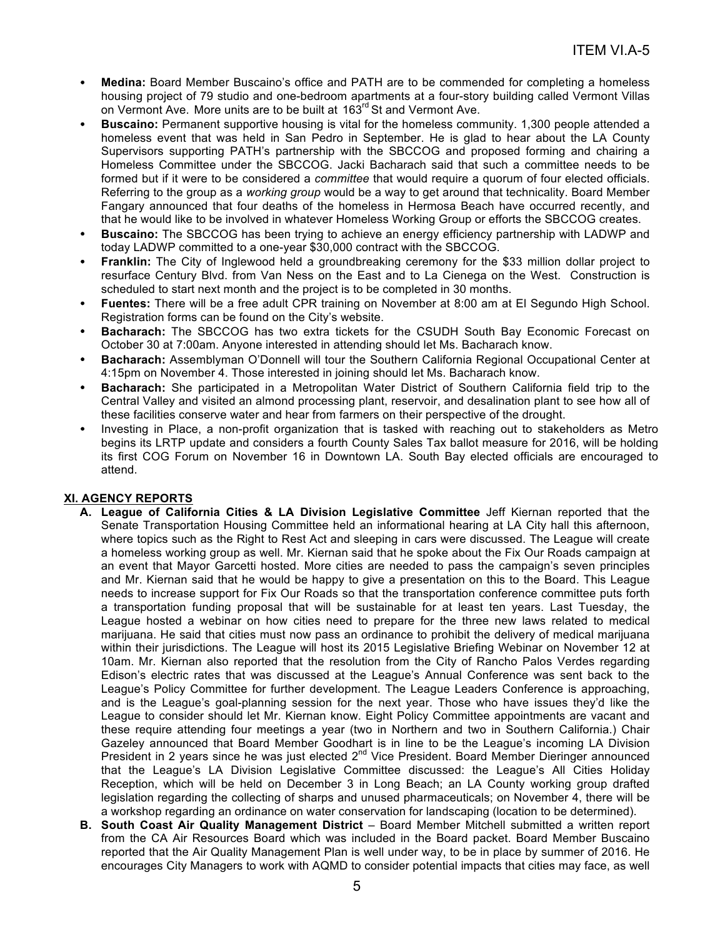- **Medina:** Board Member Buscaino's office and PATH are to be commended for completing a homeless housing project of 79 studio and one-bedroom apartments at a four-story building called Vermont Villas on Vermont Ave. More units are to be built at 163<sup>rd</sup> St and Vermont Ave.
- **Buscaino:** Permanent supportive housing is vital for the homeless community. 1,300 people attended a homeless event that was held in San Pedro in September. He is glad to hear about the LA County Supervisors supporting PATH's partnership with the SBCCOG and proposed forming and chairing a Homeless Committee under the SBCCOG. Jacki Bacharach said that such a committee needs to be formed but if it were to be considered a *committee* that would require a quorum of four elected officials. Referring to the group as a *working group* would be a way to get around that technicality. Board Member Fangary announced that four deaths of the homeless in Hermosa Beach have occurred recently, and that he would like to be involved in whatever Homeless Working Group or efforts the SBCCOG creates.
- **Buscaino:** The SBCCOG has been trying to achieve an energy efficiency partnership with LADWP and today LADWP committed to a one-year \$30,000 contract with the SBCCOG.
- **Franklin:** The City of Inglewood held a groundbreaking ceremony for the \$33 million dollar project to resurface Century Blvd. from Van Ness on the East and to La Cienega on the West. Construction is scheduled to start next month and the project is to be completed in 30 months.
- **Fuentes:** There will be a free adult CPR training on November at 8:00 am at El Segundo High School. Registration forms can be found on the City's website.
- **Bacharach:** The SBCCOG has two extra tickets for the CSUDH South Bay Economic Forecast on October 30 at 7:00am. Anyone interested in attending should let Ms. Bacharach know.
- **Bacharach:** Assemblyman O'Donnell will tour the Southern California Regional Occupational Center at 4:15pm on November 4. Those interested in joining should let Ms. Bacharach know.
- **Bacharach:** She participated in a Metropolitan Water District of Southern California field trip to the Central Valley and visited an almond processing plant, reservoir, and desalination plant to see how all of these facilities conserve water and hear from farmers on their perspective of the drought.
- Investing in Place, a non-profit organization that is tasked with reaching out to stakeholders as Metro begins its LRTP update and considers a fourth County Sales Tax ballot measure for 2016, will be holding its first COG Forum on November 16 in Downtown LA. South Bay elected officials are encouraged to attend.

# **XI. AGENCY REPORTS**

- **A. League of California Cities & LA Division Legislative Committee** Jeff Kiernan reported that the Senate Transportation Housing Committee held an informational hearing at LA City hall this afternoon, where topics such as the Right to Rest Act and sleeping in cars were discussed. The League will create a homeless working group as well. Mr. Kiernan said that he spoke about the Fix Our Roads campaign at an event that Mayor Garcetti hosted. More cities are needed to pass the campaign's seven principles and Mr. Kiernan said that he would be happy to give a presentation on this to the Board. This League needs to increase support for Fix Our Roads so that the transportation conference committee puts forth a transportation funding proposal that will be sustainable for at least ten years. Last Tuesday, the League hosted a webinar on how cities need to prepare for the three new laws related to medical marijuana. He said that cities must now pass an ordinance to prohibit the delivery of medical marijuana within their jurisdictions. The League will host its 2015 Legislative Briefing Webinar on November 12 at 10am. Mr. Kiernan also reported that the resolution from the City of Rancho Palos Verdes regarding Edison's electric rates that was discussed at the League's Annual Conference was sent back to the League's Policy Committee for further development. The League Leaders Conference is approaching, and is the League's goal-planning session for the next year. Those who have issues they'd like the League to consider should let Mr. Kiernan know. Eight Policy Committee appointments are vacant and these require attending four meetings a year (two in Northern and two in Southern California.) Chair Gazeley announced that Board Member Goodhart is in line to be the League's incoming LA Division President in 2 years since he was just elected 2nd Vice President. Board Member Dieringer announced that the League's LA Division Legislative Committee discussed: the League's All Cities Holiday Reception, which will be held on December 3 in Long Beach; an LA County working group drafted legislation regarding the collecting of sharps and unused pharmaceuticals; on November 4, there will be a workshop regarding an ordinance on water conservation for landscaping (location to be determined).
- **B. South Coast Air Quality Management District** Board Member Mitchell submitted a written report from the CA Air Resources Board which was included in the Board packet. Board Member Buscaino reported that the Air Quality Management Plan is well under way, to be in place by summer of 2016. He encourages City Managers to work with AQMD to consider potential impacts that cities may face, as well